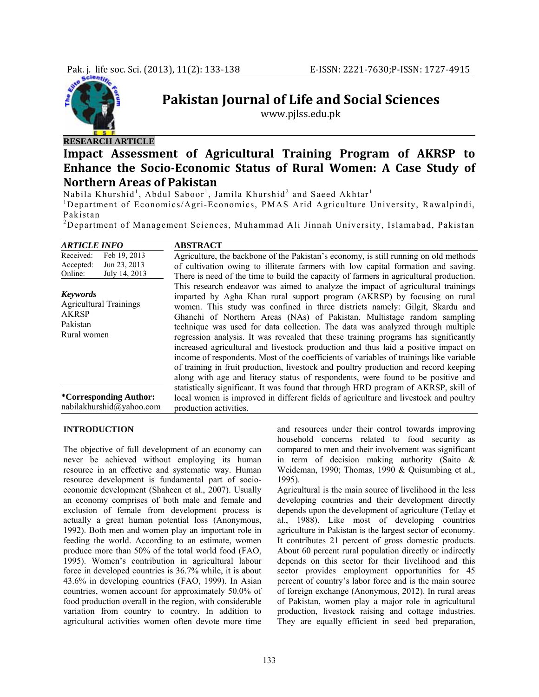

# **Pakistan Journal of Life and Social Sciences**

www.pjlss.edu.pk

## **RESEARCH ARTICLE**

## **Impact Assessment of Agricultural Training Program of AKRSP to Enhance the SocioEconomic Status of Rural Women: A Case Study of Northern Areas of Pakistan**

Nabila Khurshid $^{\rm l}$ , Abdul Saboor $^{\rm l}$ , Jamila Khurshid $^{\rm 2}$  and Saeed Akhtar $^{\rm l}$ 

<sup>1</sup>Department of Economics/Agri-Economics, PMAS Arid Agriculture University, Rawalpindi, Pakistan

2 Department of Management Sciences, Muhammad Ali Jinnah University, Islamabad, Pakistan

| <i><b>ARTICLE INFO</b></i>                                                                  | <b>ABSTRACT</b>                                                                                                                                                                                                                                                                                                                                                                                                                                                                                                                                                                                                                                                                                                                                                                                                                                               |
|---------------------------------------------------------------------------------------------|---------------------------------------------------------------------------------------------------------------------------------------------------------------------------------------------------------------------------------------------------------------------------------------------------------------------------------------------------------------------------------------------------------------------------------------------------------------------------------------------------------------------------------------------------------------------------------------------------------------------------------------------------------------------------------------------------------------------------------------------------------------------------------------------------------------------------------------------------------------|
| Feb 19, 2013<br>Received:<br>Jun 23, 2013<br>Accepted:<br>July 14, 2013<br>Online:          | Agriculture, the backbone of the Pakistan's economy, is still running on old methods<br>of cultivation owing to illiterate farmers with low capital formation and saving.<br>There is need of the time to build the capacity of farmers in agricultural production.                                                                                                                                                                                                                                                                                                                                                                                                                                                                                                                                                                                           |
| <b>Keywords</b><br><b>Agricultural Trainings</b><br><b>AKRSP</b><br>Pakistan<br>Rural women | This research endeavor was aimed to analyze the impact of agricultural trainings<br>imparted by Agha Khan rural support program (AKRSP) by focusing on rural<br>women. This study was confined in three districts namely: Gilgit, Skardu and<br>Ghanchi of Northern Areas (NAs) of Pakistan. Multistage random sampling<br>technique was used for data collection. The data was analyzed through multiple<br>regression analysis. It was revealed that these training programs has significantly<br>increased agricultural and livestock production and thus laid a positive impact on<br>income of respondents. Most of the coefficients of variables of trainings like variable<br>of training in fruit production, livestock and poultry production and record keeping<br>along with age and literacy status of respondents, were found to be positive and |
| <i>*Corresponding Author:</i><br>nabilakhurshid@yahoo.com                                   | statistically significant. It was found that through HRD program of AKRSP, skill of<br>local women is improved in different fields of agriculture and livestock and poultry<br>production activities.                                                                                                                                                                                                                                                                                                                                                                                                                                                                                                                                                                                                                                                         |

#### **INTRODUCTION**

The objective of full development of an economy can never be achieved without employing its human resource in an effective and systematic way. Human resource development is fundamental part of socioeconomic development (Shaheen et al., 2007). Usually an economy comprises of both male and female and exclusion of female from development process is actually a great human potential loss (Anonymous, 1992). Both men and women play an important role in feeding the world. According to an estimate, women produce more than 50% of the total world food (FAO, 1995). Women's contribution in agricultural labour force in developed countries is 36.7% while, it is about 43.6% in developing countries (FAO, 1999). In Asian countries, women account for approximately 50.0% of food production overall in the region, with considerable variation from country to country. In addition to agricultural activities women often devote more time

and resources under their control towards improving household concerns related to food security as compared to men and their involvement was significant in term of decision making authority (Saito & Weideman, 1990; Thomas, 1990 & Quisumbing et al.*,*  1995).

Agricultural is the main source of livelihood in the less developing countries and their development directly depends upon the development of agriculture (Tetlay et al., 1988). Like most of developing countries agriculture in Pakistan is the largest sector of economy. It contributes 21 percent of gross domestic products. About 60 percent rural population directly or indirectly depends on this sector for their livelihood and this sector provides employment opportunities for 45 percent of country's labor force and is the main source of foreign exchange (Anonymous, 2012). In rural areas of Pakistan, women play a major role in agricultural production, livestock raising and cottage industries. They are equally efficient in seed bed preparation,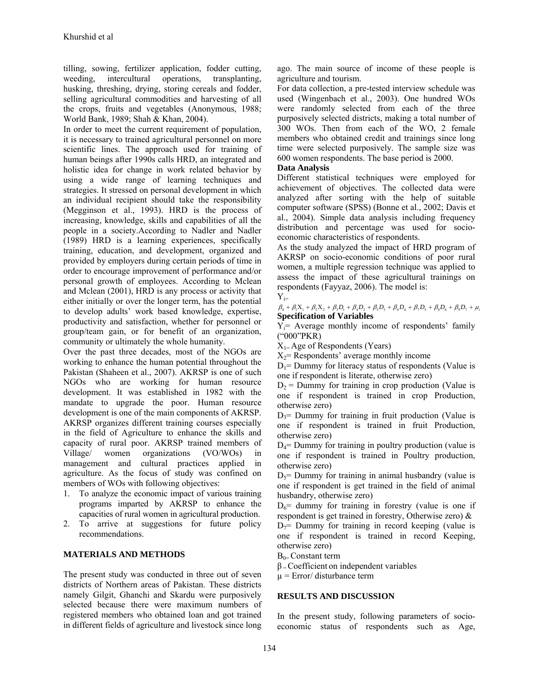tilling, sowing, fertilizer application, fodder cutting, weeding, intercultural operations, transplanting, husking, threshing, drying, storing cereals and fodder, selling agricultural commodities and harvesting of all the crops, fruits and vegetables (Anonymous, 1988; World Bank, 1989; Shah & Khan, 2004).

In order to meet the current requirement of population, it is necessary to trained agricultural personnel on more scientific lines. The approach used for training of human beings after 1990s calls HRD, an integrated and holistic idea for change in work related behavior by using a wide range of learning techniques and strategies. It stressed on personal development in which an individual recipient should take the responsibility (Megginson et al., 1993). HRD is the process of increasing, knowledge, skills and capabilities of all the people in a society.According to Nadler and Nadler (1989) HRD is a learning experiences, specifically training, education, and development, organized and provided by employers during certain periods of time in order to encourage improvement of performance and/or personal growth of employees. According to Mclean and Mclean (2001), HRD is any process or activity that either initially or over the longer term, has the potential to develop adults' work based knowledge, expertise, productivity and satisfaction, whether for personnel or group/team gain, or for benefit of an organization, community or ultimately the whole humanity.

Over the past three decades, most of the NGOs are working to enhance the human potential throughout the Pakistan (Shaheen et al., 2007). AKRSP is one of such NGOs who are working for human resource development. It was established in 1982 with the mandate to upgrade the poor. Human resource development is one of the main components of AKRSP. AKRSP organizes different training courses especially in the field of Agriculture to enhance the skills and capacity of rural poor. AKRSP trained members of Village/ women organizations (VO/WOs) in management and cultural practices applied in agriculture. As the focus of study was confined on members of WOs with following objectives:

- 1. To analyze the economic impact of various training programs imparted by AKRSP to enhance the capacities of rural women in agricultural production.
- 2. To arrive at suggestions for future policy recommendations.

## **MATERIALS AND METHODS**

The present study was conducted in three out of seven districts of Northern areas of Pakistan. These districts namely Gilgit, Ghanchi and Skardu were purposively selected because there were maximum numbers of registered members who obtained loan and got trained in different fields of agriculture and livestock since long

ago. The main source of income of these people is agriculture and tourism.

For data collection, a pre-tested interview schedule was used (Wingenbach et al., 2003). One hundred WOs were randomly selected from each of the three purposively selected districts, making a total number of 300 WOs. Then from each of the WO, 2 female members who obtained credit and trainings since long time were selected purposively. The sample size was 600 women respondents. The base period is 2000.

## **Data Analysis**

Different statistical techniques were employed for achievement of objectives. The collected data were analyzed after sorting with the help of suitable computer software (SPSS) (Bonne et al., 2002; Davis et al., 2004). Simple data analysis including frequency distribution and percentage was used for socioeconomic characteristics of respondents.

As the study analyzed the impact of HRD program of AKRSP on socio-economic conditions of poor rural women, a multiple regression technique was applied to assess the impact of these agricultural trainings on respondents (Fayyaz, 2006). The model is:

 $Y_{i=}$ 

 $\beta_0 + \beta_1 X_1 + \beta_2 X_2 + \beta_3 D_1 + \beta_4 D_2 + \beta_5 D_3 + \beta_6 D_4 + \beta_7 D_5 + \beta_8 D_6 + \beta_9 D_7 + \mu_i$ **Specification of Variables** 

 $Y_i$ = Average monthly income of respondents' family ("000"PKR)

 $X_{1}$ = Age of Respondents (Years)

 $X_2$ = Respondents' average monthly income

 $D_1$ = Dummy for literacy status of respondents (Value is one if respondent is literate, otherwise zero)

 $D_2$  = Dummy for training in crop production (Value is one if respondent is trained in crop Production, otherwise zero)

 $D_3$ = Dummy for training in fruit production (Value is one if respondent is trained in fruit Production, otherwise zero)

 $D_4$ = Dummy for training in poultry production (value is one if respondent is trained in Poultry production, otherwise zero)

 $D_5$ = Dummy for training in animal husbandry (value is one if respondent is get trained in the field of animal husbandry, otherwise zero)

 $D_6$ = dummy for training in forestry (value is one if respondent is get trained in forestry, Otherwise zero) &

 $D_7$ = Dummy for training in record keeping (value is one if respondent is trained in record Keeping, otherwise zero)

 $B_{0}$ = Constant term

 $\beta$  = Coefficient on independent variables

 $\mu$  = Error/ disturbance term

## **RESULTS AND DISCUSSION**

In the present study, following parameters of socioeconomic status of respondents such as Age,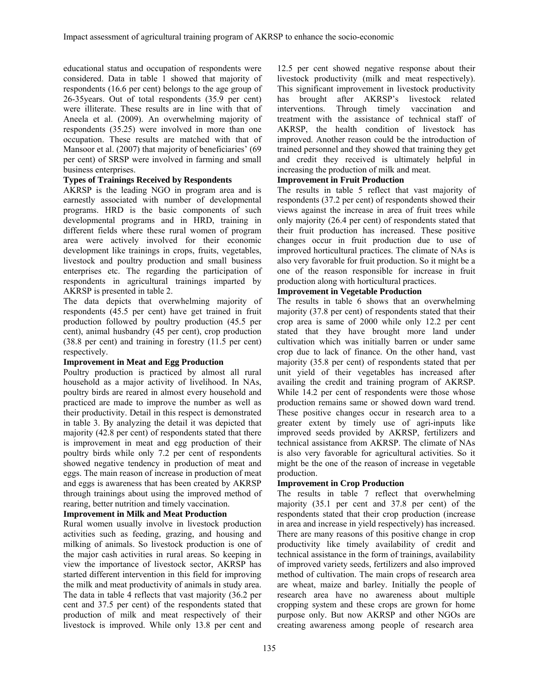educational status and occupation of respondents were considered. Data in table 1 showed that majority of respondents (16.6 per cent) belongs to the age group of 26-35years. Out of total respondents (35.9 per cent) were illiterate. These results are in line with that of Aneela et al. (2009). An overwhelming majority of respondents (35.25) were involved in more than one occupation. These results are matched with that of Mansoor et al. (2007) that majority of beneficiaries' (69 per cent) of SRSP were involved in farming and small business enterprises.

### **Types of Trainings Received by Respondents**

AKRSP is the leading NGO in program area and is earnestly associated with number of developmental programs. HRD is the basic components of such developmental programs and in HRD, training in different fields where these rural women of program area were actively involved for their economic development like trainings in crops, fruits, vegetables, livestock and poultry production and small business enterprises etc. The regarding the participation of respondents in agricultural trainings imparted by AKRSP is presented in table 2.

The data depicts that overwhelming majority of respondents (45.5 per cent) have get trained in fruit production followed by poultry production (45.5 per cent), animal husbandry (45 per cent), crop production (38.8 per cent) and training in forestry (11.5 per cent) respectively.

#### **Improvement in Meat and Egg Production**

Poultry production is practiced by almost all rural household as a major activity of livelihood. In NAs, poultry birds are reared in almost every household and practiced are made to improve the number as well as their productivity. Detail in this respect is demonstrated in table 3. By analyzing the detail it was depicted that majority (42.8 per cent) of respondents stated that there is improvement in meat and egg production of their poultry birds while only 7.2 per cent of respondents showed negative tendency in production of meat and eggs. The main reason of increase in production of meat and eggs is awareness that has been created by AKRSP through trainings about using the improved method of rearing, better nutrition and timely vaccination.

## **Improvement in Milk and Meat Production**

Rural women usually involve in livestock production activities such as feeding, grazing, and housing and milking of animals. So livestock production is one of the major cash activities in rural areas. So keeping in view the importance of livestock sector, AKRSP has started different intervention in this field for improving the milk and meat productivity of animals in study area. The data in table 4 reflects that vast majority (36.2 per cent and 37.5 per cent) of the respondents stated that production of milk and meat respectively of their livestock is improved. While only 13.8 per cent and

12.5 per cent showed negative response about their livestock productivity (milk and meat respectively). This significant improvement in livestock productivity has brought after AKRSP's livestock related interventions. Through timely vaccination and treatment with the assistance of technical staff of AKRSP, the health condition of livestock has improved. Another reason could be the introduction of trained personnel and they showed that training they get and credit they received is ultimately helpful in increasing the production of milk and meat.

## **Improvement in Fruit Production**

The results in table 5 reflect that vast majority of respondents (37.2 per cent) of respondents showed their views against the increase in area of fruit trees while only majority (26.4 per cent) of respondents stated that their fruit production has increased. These positive changes occur in fruit production due to use of improved horticultural practices. The climate of NAs is also very favorable for fruit production. So it might be a one of the reason responsible for increase in fruit production along with horticultural practices.

## **Improvement in Vegetable Production**

The results in table 6 shows that an overwhelming majority (37.8 per cent) of respondents stated that their crop area is same of 2000 while only 12.2 per cent stated that they have brought more land under cultivation which was initially barren or under same crop due to lack of finance. On the other hand, vast majority (35.8 per cent) of respondents stated that per unit yield of their vegetables has increased after availing the credit and training program of AKRSP. While 14.2 per cent of respondents were those whose production remains same or showed down ward trend. These positive changes occur in research area to a greater extent by timely use of agri-inputs like improved seeds provided by AKRSP, fertilizers and technical assistance from AKRSP. The climate of NAs is also very favorable for agricultural activities. So it might be the one of the reason of increase in vegetable production.

## **Improvement in Crop Production**

The results in table 7 reflect that overwhelming majority (35.1 per cent and 37.8 per cent) of the respondents stated that their crop production (increase in area and increase in yield respectively) has increased. There are many reasons of this positive change in crop productivity like timely availability of credit and technical assistance in the form of trainings, availability of improved variety seeds, fertilizers and also improved method of cultivation. The main crops of research area are wheat, maize and barley. Initially the people of research area have no awareness about multiple cropping system and these crops are grown for home purpose only. But now AKRSP and other NGOs are creating awareness among people of research area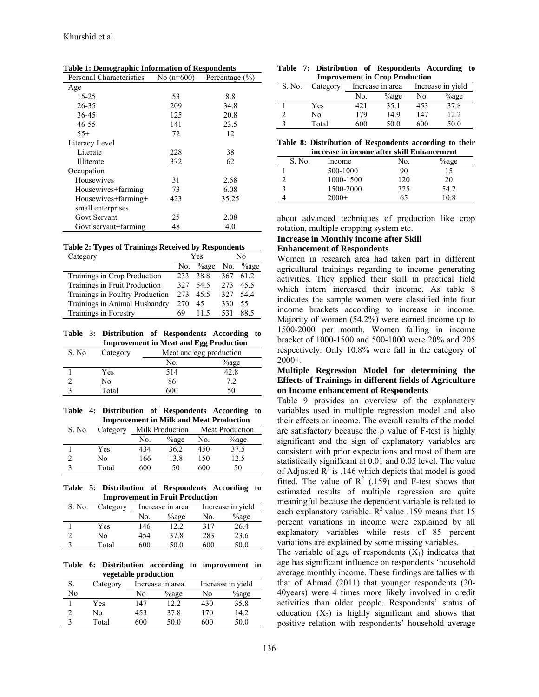| <b>Personal Characteristics</b> | No $(n=600)$ | Percentage $(\% )$ |
|---------------------------------|--------------|--------------------|
| Age                             |              |                    |
| $15 - 25$                       | 53           | 8.8                |
| $26 - 35$                       | 209          | 34.8               |
| 36-45                           | 125          | 20.8               |
| $46 - 55$                       | 141          | 23.5               |
| $55+$                           | 72           | 12                 |
| Literacy Level                  |              |                    |
| Literate                        | 228          | 38                 |
| Illiterate                      | 372          | 62                 |
| Occupation                      |              |                    |
| Housewives                      | 31           | 2.58               |
| Housewives+farming              | 73           | 6.08               |
| Housewives+farming+             | 423          | 35.25              |
| small enterprises               |              |                    |
| Govt Servant                    | 25           | 2.08               |
| Govt servant+farming            | 48           | 4.0                |

**Table 1: Demographic Information of Respondents** 

|  | <b>Table 2: Types of Trainings Received by Respondents</b> |  |  |
|--|------------------------------------------------------------|--|--|
|  |                                                            |  |  |

| Category                        | Yes |          | No  |          |
|---------------------------------|-----|----------|-----|----------|
|                                 | No. | $\%$ age |     | No. ‰age |
| Trainings in Crop Production    |     | 233 38.8 | 367 | 61 2     |
| Trainings in Fruit Production   | 327 | 54.5     | 273 | 45.5     |
| Trainings in Poultry Production | 273 | 45.5     | 327 | 544      |
| Trainings in Animal Husbandry   | 270 | 45       | 330 | 55       |
| Trainings in Forestry           | 69  | 115      | 531 | 88.5     |

**Table 3: Distribution of Respondents According to Improvement in Meat and Egg Production** 

| S. No | Category | --<br>Meat and egg production |          |  |
|-------|----------|-------------------------------|----------|--|
|       |          | No.                           | $\%$ age |  |
|       | Yes      | 514                           | 42.8     |  |
|       | No       | 86                            |          |  |
|       | Total    | 600                           | 50       |  |

**Table 4: Distribution of Respondents According to Improvement in Milk and Meat Production** 

| S. No. | Category | Milk Production |          | Meat Production |          |
|--------|----------|-----------------|----------|-----------------|----------|
|        |          | No.             | $\%$ age | No.             | $\%$ age |
|        | Yes      | 434             | 36.2     | 450             | 37.5     |
|        | No       | 166             | 13.8     | 150             | 12.5     |
|        | Total    | 600             | 50       | 600             | 50       |

**Table 5: Distribution of Respondents According to Improvement in Fruit Production** 

| S. No.      | Category   | Increase in area |          |     | Increase in yield |
|-------------|------------|------------------|----------|-----|-------------------|
|             |            | No.              | $\%$ age | No. | $\%$ age          |
|             | <b>Yes</b> | 146              | 12.2     | 317 | 26.4              |
| C           | No         | 454              | 37.8     | 283 | 23.6              |
| $\mathbf 3$ | Total      | 600              | 50.0     | 600 | 50.0              |

**Table 6: Distribution according to improvement in vegetable production**

| S. | Category | Increase in area |          |     | Increase in yield |  |
|----|----------|------------------|----------|-----|-------------------|--|
| Nο |          | Nο               | $\%$ age | No  | $\%$ age          |  |
|    | Yes      | 147              | 12.2     | 430 | 35.8              |  |
| າ  | No       | 453              | 37.8     | 170 | 14.2              |  |
|    | Total    | 600              | 50.0     | 600 | 50.0              |  |

**Table 7: Distribution of Respondents According to Improvement in Crop Production**

| S. No. | Category | Increase in area |          | Increase in yield |          |  |  |
|--------|----------|------------------|----------|-------------------|----------|--|--|
|        |          | No.              | $\%$ age | No.               | $\%$ age |  |  |
|        | Yes      | 421              | 35.1     | 453               | 37.8     |  |  |
|        | No       | 179              | 14.9     | 147               | 12.2     |  |  |
|        | Total    | 600              | 50.0     | 600               | 50.0     |  |  |

**Table 8: Distribution of Respondents according to their** 

| increase in income after skill Enhancement |           |     |          |  |  |
|--------------------------------------------|-----------|-----|----------|--|--|
| S. No.                                     | Income    | No. | $\%$ age |  |  |
|                                            | 500-1000  | 90  |          |  |  |
|                                            | 1000-1500 | 120 | 20       |  |  |
|                                            | 1500-2000 | 325 | 54.2     |  |  |
|                                            | $2000+$   | h٦  | 10 8     |  |  |

about advanced techniques of production like crop rotation, multiple cropping system etc.

#### **Increase in Monthly income after Skill**

#### **Enhancement of Respondents**

Women in research area had taken part in different agricultural trainings regarding to income generating activities. They applied their skill in practical field which intern increased their income. As table 8 indicates the sample women were classified into four income brackets according to increase in income. Majority of women (54.2%) were earned income up to 1500-2000 per month. Women falling in income bracket of 1000-1500 and 500-1000 were 20% and 205 respectively. Only 10.8% were fall in the category of 2000+.

## **Multiple Regression Model for determining the Effects of Trainings in different fields of Agriculture on Income enhancement of Respondents**

Table 9 provides an overview of the explanatory variables used in multiple regression model and also their effects on income. The overall results of the model are satisfactory because the  $\rho$  value of F-test is highly significant and the sign of explanatory variables are consistent with prior expectations and most of them are statistically significant at 0.01 and 0.05 level. The value of Adjusted  $\mathbb{R}^2$  is .146 which depicts that model is good fitted. The value of  $R^2$  (.159) and F-test shows that estimated results of multiple regression are quite meaningful because the dependent variable is related to each explanatory variable.  $R^2$  value .159 means that 15 percent variations in income were explained by all explanatory variables while rests of 85 percent variations are explained by some missing variables.

The variable of age of respondents  $(X_1)$  indicates that age has significant influence on respondents 'household average monthly income. These findings are tallies with that of Ahmad (2011) that younger respondents (20- 40years) were 4 times more likely involved in credit activities than older people. Respondents' status of education  $(X_2)$  is highly significant and shows that positive relation with respondents' household average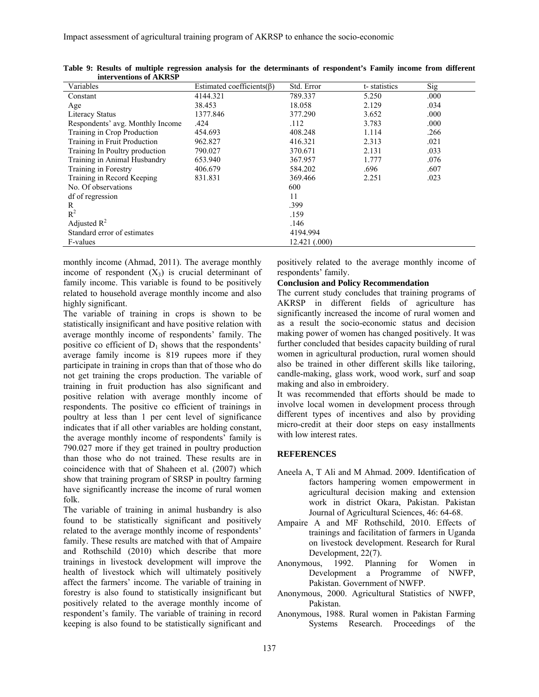| Variables                        | Estimated coefficients $(\beta)$ | Std. Error    | t-statistics | Sig  |
|----------------------------------|----------------------------------|---------------|--------------|------|
| Constant                         | 4144.321                         | 789.337       | 5.250        | .000 |
| Age                              | 38.453                           | 18.058        | 2.129        | .034 |
| <b>Literacy Status</b>           | 1377.846                         | 377.290       | 3.652        | .000 |
| Respondents' avg. Monthly Income | .424                             | .112          | 3.783        | .000 |
| Training in Crop Production      | 454.693                          | 408.248       | 1.114        | .266 |
| Training in Fruit Production     | 962.827                          | 416.321       | 2.313        | .021 |
| Training In Poultry production   | 790.027                          | 370.671       | 2.131        | .033 |
| Training in Animal Husbandry     | 653.940                          | 367.957       | 1.777        | .076 |
| Training in Forestry             | 406.679                          | 584.202       | .696         | .607 |
| Training in Record Keeping       | 831.831                          | 369.466       | 2.251        | .023 |
| No. Of observations              |                                  | 600           |              |      |
| df of regression                 |                                  | 11            |              |      |
| R                                |                                  | .399          |              |      |
| $R^2$                            |                                  | .159          |              |      |
| Adjusted $R^2$                   |                                  | .146          |              |      |
| Standard error of estimates      |                                  | 4194.994      |              |      |
| F-values                         |                                  | 12.421 (.000) |              |      |

**Table 9: Results of multiple regression analysis for the determinants of respondent's Family income from different interventions of AKRSP** 

monthly income (Ahmad, 2011). The average monthly income of respondent  $(X_3)$  is crucial determinant of family income. This variable is found to be positively related to household average monthly income and also highly significant.

The variable of training in crops is shown to be statistically insignificant and have positive relation with average monthly income of respondents' family. The positive co efficient of  $D_1$  shows that the respondents' average family income is 819 rupees more if they participate in training in crops than that of those who do not get training the crops production. The variable of training in fruit production has also significant and positive relation with average monthly income of respondents. The positive co efficient of trainings in poultry at less than 1 per cent level of significance indicates that if all other variables are holding constant, the average monthly income of respondents' family is 790.027 more if they get trained in poultry production than those who do not trained. These results are in coincidence with that of Shaheen et al. (2007) which show that training program of SRSP in poultry farming have significantly increase the income of rural women folk.

The variable of training in animal husbandry is also found to be statistically significant and positively related to the average monthly income of respondents' family. These results are matched with that of Ampaire and Rothschild (2010) which describe that more trainings in livestock development will improve the health of livestock which will ultimately positively affect the farmers' income. The variable of training in forestry is also found to statistically insignificant but positively related to the average monthly income of respondent's family. The variable of training in record keeping is also found to be statistically significant and

positively related to the average monthly income of respondents' family.

#### **Conclusion and Policy Recommendation**

The current study concludes that training programs of AKRSP in different fields of agriculture has significantly increased the income of rural women and as a result the socio-economic status and decision making power of women has changed positively. It was further concluded that besides capacity building of rural women in agricultural production, rural women should also be trained in other different skills like tailoring, candle-making, glass work, wood work, surf and soap making and also in embroidery.

It was recommended that efforts should be made to involve local women in development process through different types of incentives and also by providing micro-credit at their door steps on easy installments with low interest rates.

#### **REFERENCES**

- Aneela A, T Ali and M Ahmad. 2009. Identification of factors hampering women empowerment in agricultural decision making and extension work in district Okara, Pakistan. Pakistan Journal of Agricultural Sciences, 46: 64-68.
- Ampaire A and MF Rothschild, 2010. Effects of trainings and facilitation of farmers in Uganda on livestock development. Research for Rural Development, 22(7).
- Anonymous, 1992. Planning for Women in Development a Programme of NWFP, Pakistan. Government of NWFP.
- Anonymous, 2000. Agricultural Statistics of NWFP, Pakistan.
- Anonymous, 1988. Rural women in Pakistan Farming Systems Research. Proceedings of the